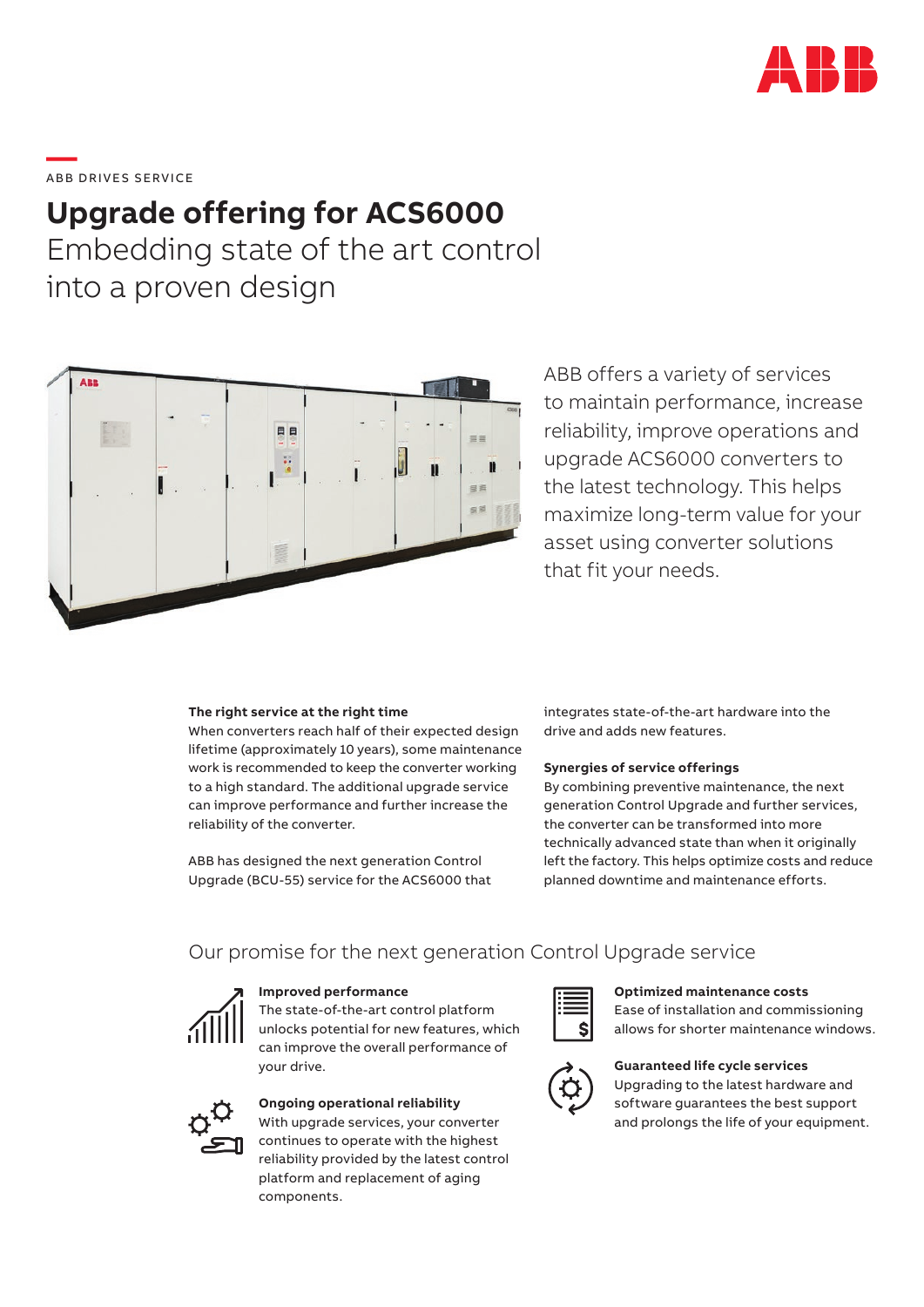

# \_\_\_\_\_<br>ABB DRIVES SERVICE

## **Upgrade offering for ACS6000**

Embedding state of the art control into a proven design



ABB offers a variety of services to maintain performance, increase reliability, improve operations and upgrade ACS6000 converters to the latest technology. This helps maximize long-term value for your asset using converter solutions that fit your needs.

#### **The right service at the right time**

When converters reach half of their expected design lifetime (approximately 10 years), some maintenance work is recommended to keep the converter working to a high standard. The additional upgrade service can improve performance and further increase the reliability of the converter.

ABB has designed the next generation Control Upgrade (BCU-55) service for the ACS6000 that integrates state-of-the-art hardware into the drive and adds new features.

#### **Synergies of service offerings**

By combining preventive maintenance, the next generation Control Upgrade and further services, the converter can be transformed into more technically advanced state than when it originally left the factory. This helps optimize costs and reduce planned downtime and maintenance efforts.

### Our promise for the next generation Control Upgrade service



### **Improved performance**

The state-of-the-art control platform unlocks potential for new features, which can improve the overall performance of your drive.



### **Ongoing operational reliability**

With upgrade services, your converter continues to operate with the highest reliability provided by the latest control platform and replacement of aging components.



### **Optimized maintenance costs**

Ease of installation and commissioning allows for shorter maintenance windows.



#### **Guaranteed life cycle services**

Upgrading to the latest hardware and software guarantees the best support and prolongs the life of your equipment.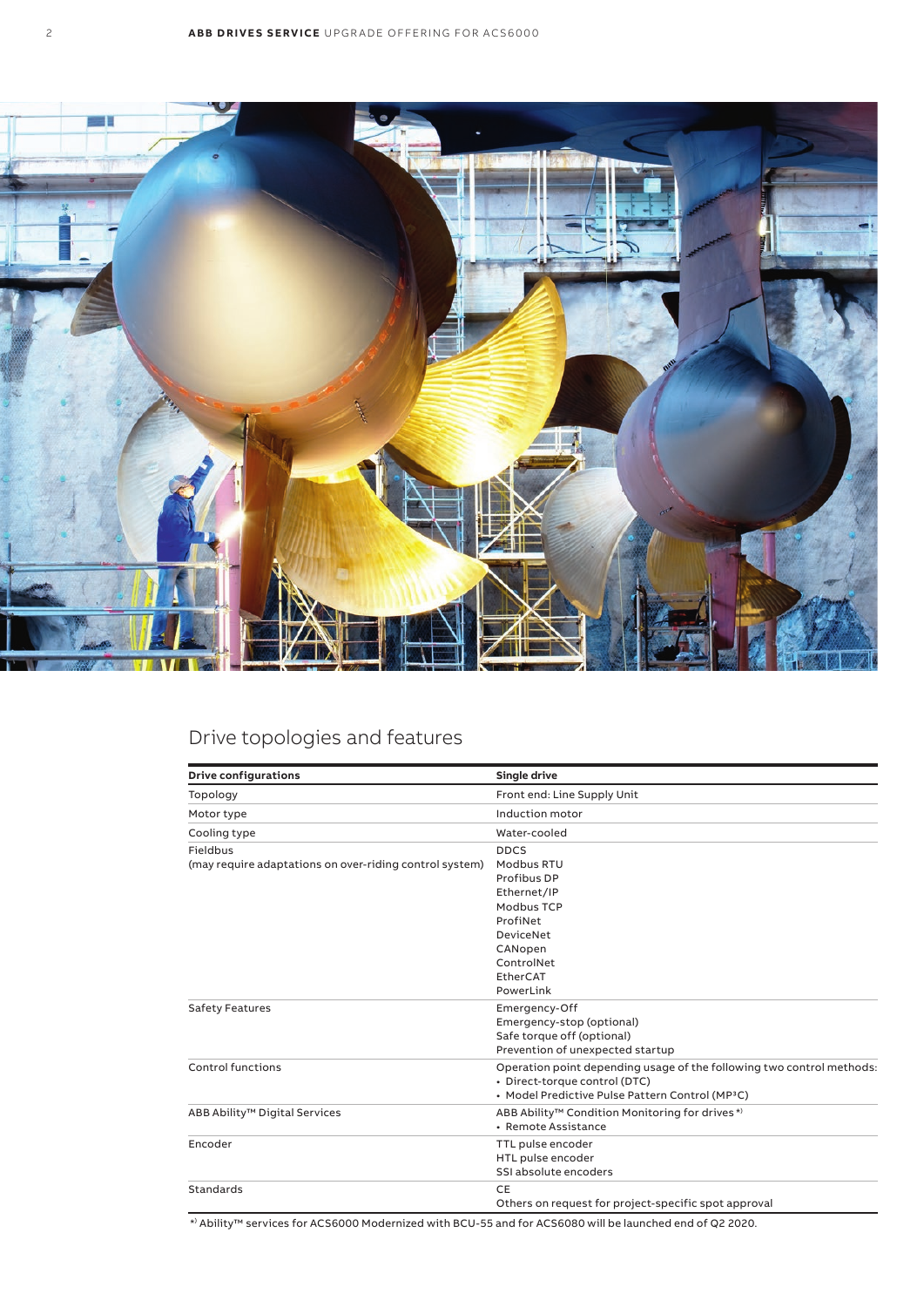

### Drive topologies and features

| <b>Drive configurations</b>                                         | Single drive                                                                                                                                                           |  |  |  |
|---------------------------------------------------------------------|------------------------------------------------------------------------------------------------------------------------------------------------------------------------|--|--|--|
| Topology                                                            | Front end: Line Supply Unit                                                                                                                                            |  |  |  |
| Motor type                                                          | Induction motor                                                                                                                                                        |  |  |  |
| Cooling type                                                        | Water-cooled                                                                                                                                                           |  |  |  |
| Fieldbus<br>(may require adaptations on over-riding control system) | <b>DDCS</b><br>Modbus RTU<br>Profibus DP<br>Ethernet/IP<br>Modbus TCP<br>ProfiNet<br><b>DeviceNet</b><br>CANopen<br>ControlNet<br>EtherCAT<br>PowerLink                |  |  |  |
| <b>Safety Features</b>                                              | Emergency-Off<br>Emergency-stop (optional)<br>Safe torque off (optional)<br>Prevention of unexpected startup                                                           |  |  |  |
| Control functions                                                   | Operation point depending usage of the following two control methods:<br>· Direct-torque control (DTC)<br>• Model Predictive Pulse Pattern Control (MP <sup>3</sup> C) |  |  |  |
| ABB Ability <sup>™</sup> Digital Services                           | ABB Ability <sup>™</sup> Condition Monitoring for drives <sup>*)</sup><br>• Remote Assistance                                                                          |  |  |  |
| Encoder                                                             | TTL pulse encoder<br>HTL pulse encoder<br>SSI absolute encoders                                                                                                        |  |  |  |
| Standards                                                           | CE<br>Others on request for project-specific spot approval                                                                                                             |  |  |  |

\*) Ability™ services for ACS6000 Modernized with BCU-55 and for ACS6080 will be launched end of Q2 2020.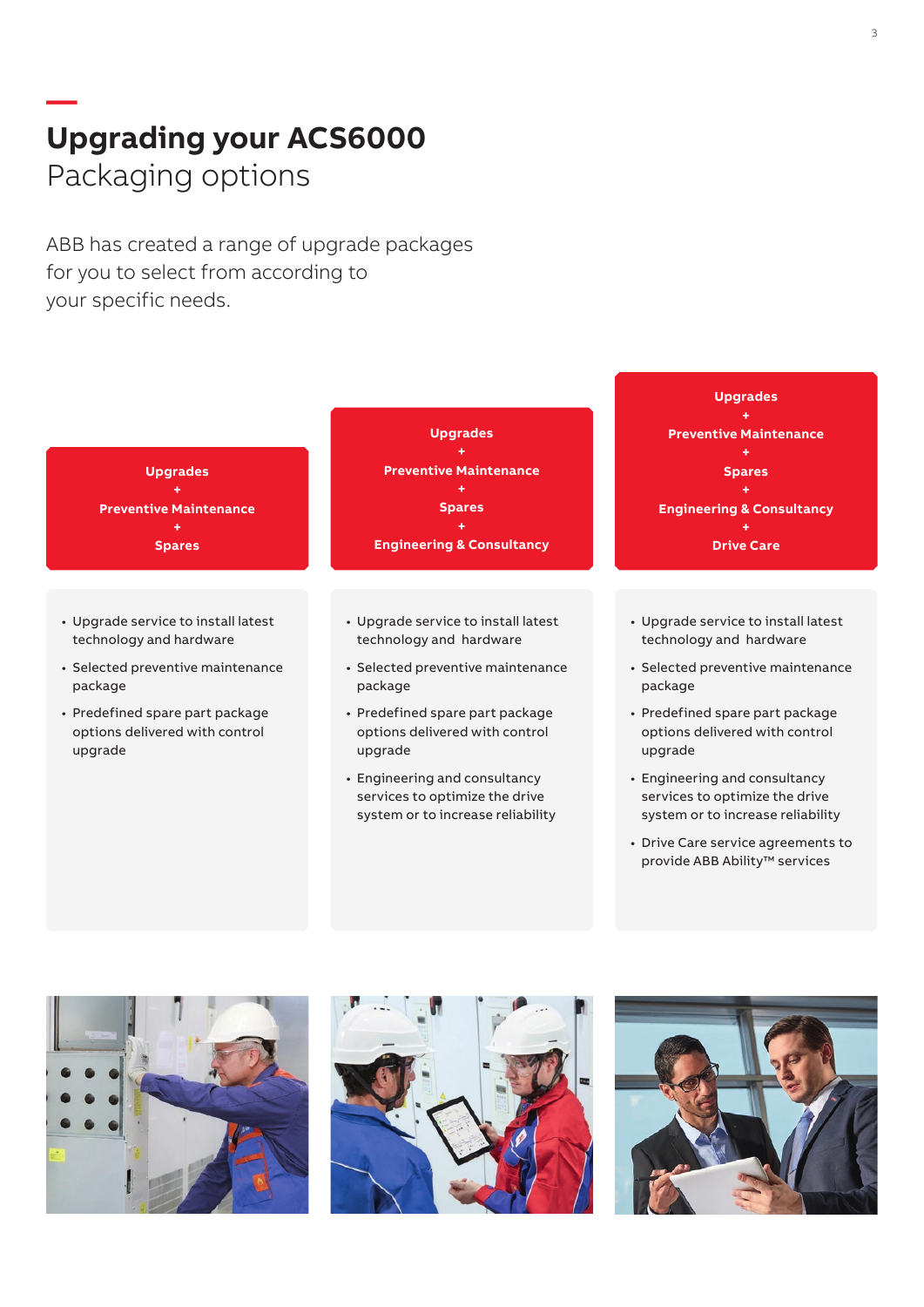## **— Upgrading your ACS6000** Packaging options

ABB has created a range of upgrade packages for you to select from according to your specific needs.